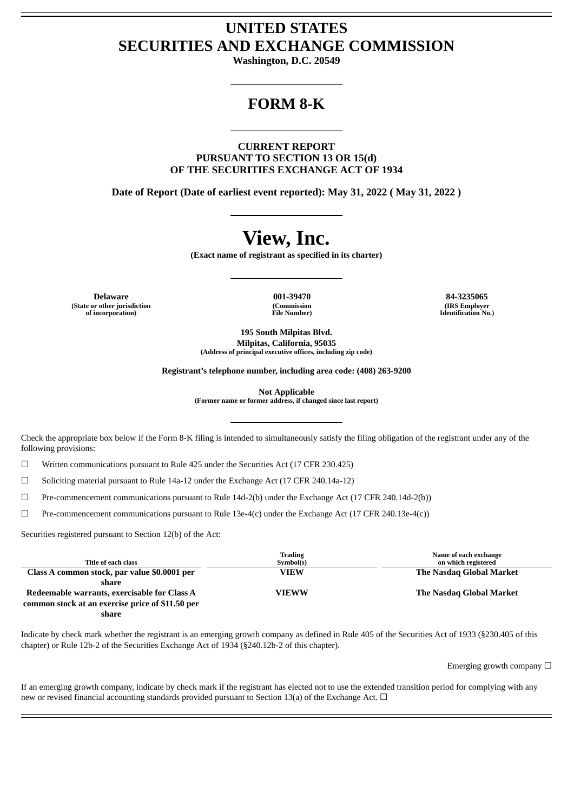# **UNITED STATES SECURITIES AND EXCHANGE COMMISSION**

**Washington, D.C. 20549**

# **FORM 8-K**

**CURRENT REPORT PURSUANT TO SECTION 13 OR 15(d) OF THE SECURITIES EXCHANGE ACT OF 1934**

**Date of Report (Date of earliest event reported): May 31, 2022 ( May 31, 2022 )**

# **View, Inc.**

**(Exact name of registrant as specified in its charter)**

**Delaware 001-39470 84-3235065 (State or other jurisdiction of incorporation)**

**(Commission File Number)**

**(IRS Employer Identification No.)**

**195 South Milpitas Blvd. Milpitas, California, 95035 (Address of principal executive offices, including zip code)**

**Registrant's telephone number, including area code: (408) 263-9200**

**Not Applicable**

**(Former name or former address, if changed since last report)**

Check the appropriate box below if the Form 8-K filing is intended to simultaneously satisfy the filing obligation of the registrant under any of the following provisions:

☐ Written communications pursuant to Rule 425 under the Securities Act (17 CFR 230.425)

 $\Box$  Soliciting material pursuant to Rule 14a-12 under the Exchange Act (17 CFR 240.14a-12)

☐ Pre-commencement communications pursuant to Rule 14d-2(b) under the Exchange Act (17 CFR 240.14d-2(b))

 $\Box$  Pre-commencement communications pursuant to Rule 13e-4(c) under the Exchange Act (17 CFR 240.13e-4(c))

Securities registered pursuant to Section 12(b) of the Act:

| Title of each class                              | <b>Trading</b><br>Symbol(s) | Name of each exchange<br>on which registered |
|--------------------------------------------------|-----------------------------|----------------------------------------------|
| Class A common stock, par value \$0.0001 per     | <b>VIEW</b>                 | The Nasdag Global Market                     |
| share                                            |                             |                                              |
| Redeemable warrants, exercisable for Class A     | <b>VIEWW</b>                | The Nasdag Global Market                     |
| common stock at an exercise price of \$11.50 per |                             |                                              |
| share                                            |                             |                                              |

Indicate by check mark whether the registrant is an emerging growth company as defined in Rule 405 of the Securities Act of 1933 (§230.405 of this chapter) or Rule 12b-2 of the Securities Exchange Act of 1934 (§240.12b-2 of this chapter).

Emerging growth company  $\Box$ 

If an emerging growth company, indicate by check mark if the registrant has elected not to use the extended transition period for complying with any new or revised financial accounting standards provided pursuant to Section 13(a) of the Exchange Act.  $\Box$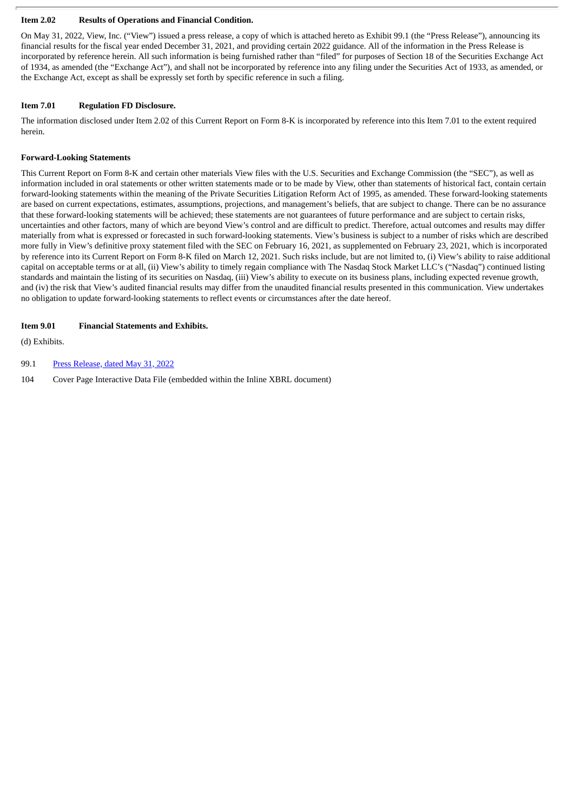### **Item 2.02 Results of Operations and Financial Condition.**

On May 31, 2022, View, Inc. ("View") issued a press release, a copy of which is attached hereto as Exhibit 99.1 (the "Press Release"), announcing its financial results for the fiscal year ended December 31, 2021, and providing certain 2022 guidance. All of the information in the Press Release is incorporated by reference herein. All such information is being furnished rather than "filed" for purposes of Section 18 of the Securities Exchange Act of 1934, as amended (the "Exchange Act"), and shall not be incorporated by reference into any filing under the Securities Act of 1933, as amended, or the Exchange Act, except as shall be expressly set forth by specific reference in such a filing.

# **Item 7.01 Regulation FD Disclosure.**

The information disclosed under Item 2.02 of this Current Report on Form 8-K is incorporated by reference into this Item 7.01 to the extent required herein.

# **Forward-Looking Statements**

This Current Report on Form 8-K and certain other materials View files with the U.S. Securities and Exchange Commission (the "SEC"), as well as information included in oral statements or other written statements made or to be made by View, other than statements of historical fact, contain certain forward-looking statements within the meaning of the Private Securities Litigation Reform Act of 1995, as amended. These forward-looking statements are based on current expectations, estimates, assumptions, projections, and management's beliefs, that are subject to change. There can be no assurance that these forward-looking statements will be achieved; these statements are not guarantees of future performance and are subject to certain risks, uncertainties and other factors, many of which are beyond View's control and are difficult to predict. Therefore, actual outcomes and results may differ materially from what is expressed or forecasted in such forward-looking statements. View's business is subject to a number of risks which are described more fully in View's definitive proxy statement filed with the SEC on February 16, 2021, as supplemented on February 23, 2021, which is incorporated by reference into its Current Report on Form 8-K filed on March 12, 2021. Such risks include, but are not limited to, (i) View's ability to raise additional capital on acceptable terms or at all, (ii) View's ability to timely regain compliance with The Nasdaq Stock Market LLC's ("Nasdaq") continued listing standards and maintain the listing of its securities on Nasdaq, (iii) View's ability to execute on its business plans, including expected revenue growth, and (iv) the risk that View's audited financial results may differ from the unaudited financial results presented in this communication. View undertakes no obligation to update forward-looking statements to reflect events or circumstances after the date hereof.

# **Item 9.01 Financial Statements and Exhibits.**

(d) Exhibits.

# 99.1 Press [Release,](#page-3-0) dated May 31, 2022

104 Cover Page Interactive Data File (embedded within the Inline XBRL document)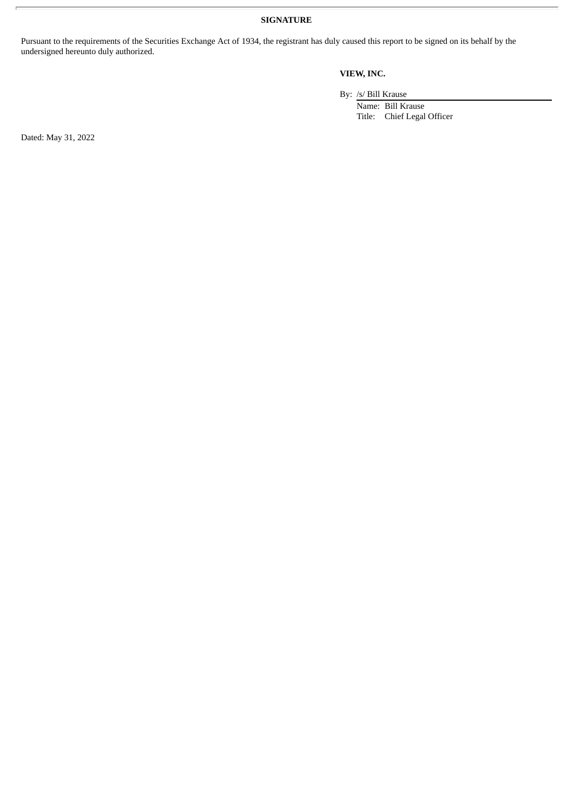**SIGNATURE**

Pursuant to the requirements of the Securities Exchange Act of 1934, the registrant has duly caused this report to be signed on its behalf by the undersigned hereunto duly authorized.

# **VIEW, INC.**

By: /s/ Bill Krause

Name: Bill Krause Title: Chief Legal Officer

Dated: May 31, 2022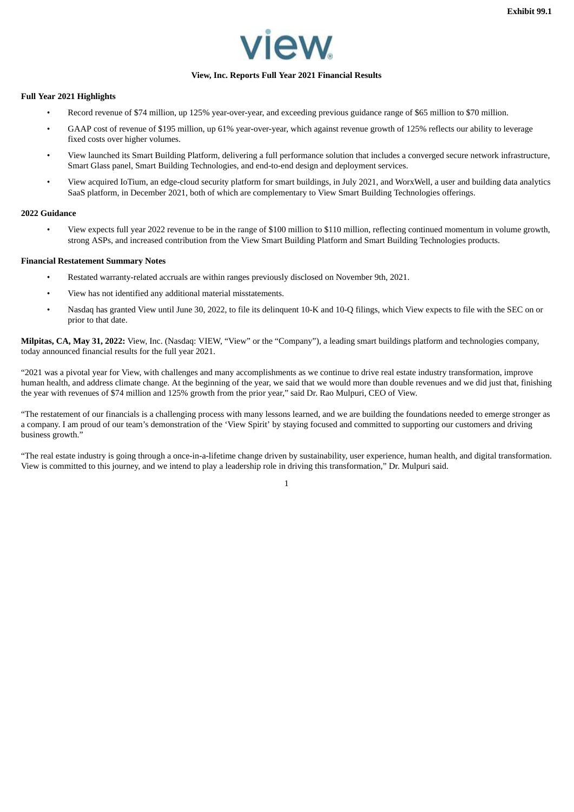

#### **View, Inc. Reports Full Year 2021 Financial Results**

#### <span id="page-3-0"></span>**Full Year 2021 Highlights**

- Record revenue of \$74 million, up 125% year-over-year, and exceeding previous guidance range of \$65 million to \$70 million.
- GAAP cost of revenue of \$195 million, up 61% year-over-year, which against revenue growth of 125% reflects our ability to leverage fixed costs over higher volumes.
- View launched its Smart Building Platform, delivering a full performance solution that includes a converged secure network infrastructure, Smart Glass panel, Smart Building Technologies, and end-to-end design and deployment services.
- View acquired IoTium, an edge-cloud security platform for smart buildings, in July 2021, and WorxWell, a user and building data analytics SaaS platform, in December 2021, both of which are complementary to View Smart Building Technologies offerings.

#### **2022 Guidance**

• View expects full year 2022 revenue to be in the range of \$100 million to \$110 million, reflecting continued momentum in volume growth, strong ASPs, and increased contribution from the View Smart Building Platform and Smart Building Technologies products.

#### **Financial Restatement Summary Notes**

- Restated warranty-related accruals are within ranges previously disclosed on November 9th, 2021.
- View has not identified any additional material misstatements.
- Nasdaq has granted View until June 30, 2022, to file its delinquent 10-K and 10-Q filings, which View expects to file with the SEC on or prior to that date.

**Milpitas, CA, May 31, 2022:** View, Inc. (Nasdaq: VIEW, "View" or the "Company"), a leading smart buildings platform and technologies company, today announced financial results for the full year 2021.

"2021 was a pivotal year for View, with challenges and many accomplishments as we continue to drive real estate industry transformation, improve human health, and address climate change. At the beginning of the year, we said that we would more than double revenues and we did just that, finishing the year with revenues of \$74 million and 125% growth from the prior year," said Dr. Rao Mulpuri, CEO of View.

"The restatement of our financials is a challenging process with many lessons learned, and we are building the foundations needed to emerge stronger as a company. I am proud of our team's demonstration of the 'View Spirit' by staying focused and committed to supporting our customers and driving business growth."

"The real estate industry is going through a once-in-a-lifetime change driven by sustainability, user experience, human health, and digital transformation. View is committed to this journey, and we intend to play a leadership role in driving this transformation," Dr. Mulpuri said.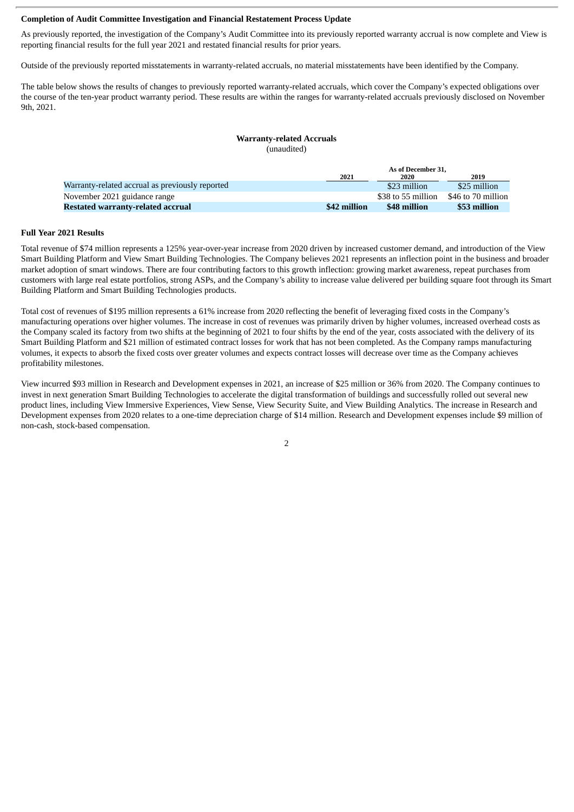#### **Completion of Audit Committee Investigation and Financial Restatement Process Update**

As previously reported, the investigation of the Company's Audit Committee into its previously reported warranty accrual is now complete and View is reporting financial results for the full year 2021 and restated financial results for prior years.

Outside of the previously reported misstatements in warranty-related accruals, no material misstatements have been identified by the Company.

The table below shows the results of changes to previously reported warranty-related accruals, which cover the Company's expected obligations over the course of the ten-year product warranty period. These results are within the ranges for warranty-related accruals previously disclosed on November 9th, 2021.

#### **Warranty-related Accruals** (unaudited)

|                                                 |              | As of December 31. |                    |  |
|-------------------------------------------------|--------------|--------------------|--------------------|--|
|                                                 | 2021         | 2020               | 2019               |  |
| Warranty-related accrual as previously reported |              | \$23 million       | \$25 million       |  |
| November 2021 guidance range                    |              | \$38 to 55 million | \$46 to 70 million |  |
| Restated warranty-related accrual               | \$42 million | \$48 million       | \$53 million       |  |

#### **Full Year 2021 Results**

Total revenue of \$74 million represents a 125% year-over-year increase from 2020 driven by increased customer demand, and introduction of the View Smart Building Platform and View Smart Building Technologies. The Company believes 2021 represents an inflection point in the business and broader market adoption of smart windows. There are four contributing factors to this growth inflection: growing market awareness, repeat purchases from customers with large real estate portfolios, strong ASPs, and the Company's ability to increase value delivered per building square foot through its Smart Building Platform and Smart Building Technologies products.

Total cost of revenues of \$195 million represents a 61% increase from 2020 reflecting the benefit of leveraging fixed costs in the Company's manufacturing operations over higher volumes. The increase in cost of revenues was primarily driven by higher volumes, increased overhead costs as the Company scaled its factory from two shifts at the beginning of 2021 to four shifts by the end of the year, costs associated with the delivery of its Smart Building Platform and \$21 million of estimated contract losses for work that has not been completed. As the Company ramps manufacturing volumes, it expects to absorb the fixed costs over greater volumes and expects contract losses will decrease over time as the Company achieves profitability milestones.

View incurred \$93 million in Research and Development expenses in 2021, an increase of \$25 million or 36% from 2020. The Company continues to invest in next generation Smart Building Technologies to accelerate the digital transformation of buildings and successfully rolled out several new product lines, including View Immersive Experiences, View Sense, View Security Suite, and View Building Analytics. The increase in Research and Development expenses from 2020 relates to a one-time depreciation charge of \$14 million. Research and Development expenses include \$9 million of non-cash, stock-based compensation.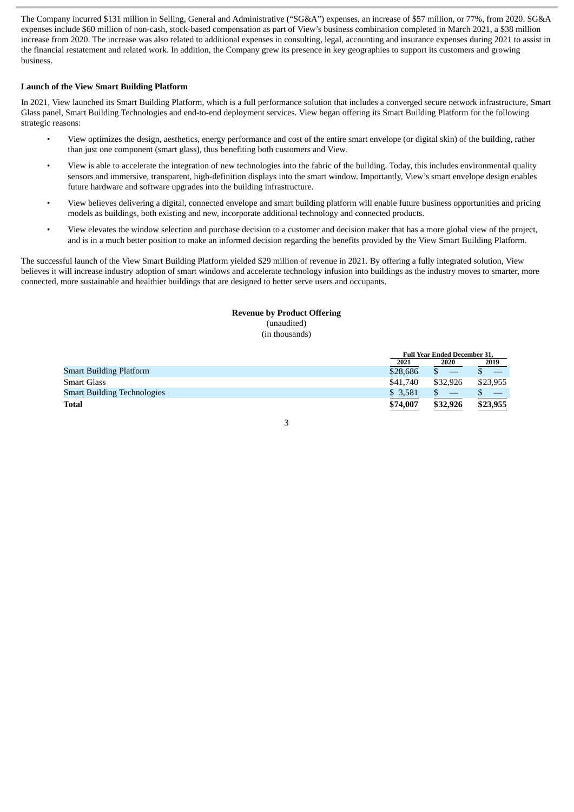The Company incurred \$131 million in Selling, General and Administrative ("SG&A") expenses, an increase of \$57 million, or 77%, from 2020. SG&A expenses include \$60 million of non-cash, stock-based compensation as part of View's business combination completed in March 2021, a \$38 million increase from 2020. The increase was also related to additional expenses in consulting, legal, accounting and insurance expenses during 2021 to assist in the financial restatement and related work. In addition, the Company grew its presence in key geographies to support its customers and growing business.

#### **Launch of the View Smart Building Platform**

In 2021, View launched its Smart Building Platform, which is a full performance solution that includes a converged secure network infrastructure, Smart Glass panel, Smart Building Technologies and end-to-end deployment services. View began offering its Smart Building Platform for the following strategic reasons:

- View optimizes the design, aesthetics, energy performance and cost of the entire smart envelope (or digital skin) of the building, rather than just one component (smart glass), thus benefiting both customers and View.
- View is able to accelerate the integration of new technologies into the fabric of the building. Today, this includes environmental quality sensors and immersive, transparent, high-definition displays into the smart window. Importantly, View's smart envelope design enables future hardware and software upgrades into the building infrastructure.
- View believes delivering a digital, connected envelope and smart building platform will enable future business opportunities and pricing models as buildings, both existing and new, incorporate additional technology and connected products.
- View elevates the window selection and purchase decision to a customer and decision maker that has a more global view of the project, and is in a much better position to make an informed decision regarding the benefits provided by the View Smart Building Platform.

The successful launch of the View Smart Building Platform yielded \$29 million of revenue in 2021. By offering a fully integrated solution, View believes it will increase industry adoption of smart windows and accelerate technology infusion into buildings as the industry moves to smarter, more connected, more sustainable and healthier buildings that are designed to better serve users and occupants.

#### **Revenue by Product Offering** (unaudited)

(in thousands)

|                                    |          | <b>Full Year Ended December 31.</b> |          |  |
|------------------------------------|----------|-------------------------------------|----------|--|
|                                    | 2021     | 2020                                | 2019     |  |
| <b>Smart Building Platform</b>     | \$28,686 |                                     |          |  |
| <b>Smart Glass</b>                 | \$41,740 | \$32,926                            | \$23.955 |  |
| <b>Smart Building Technologies</b> | \$ 3,581 |                                     |          |  |
| <b>Total</b>                       | \$74,007 | \$32,926                            | \$23,955 |  |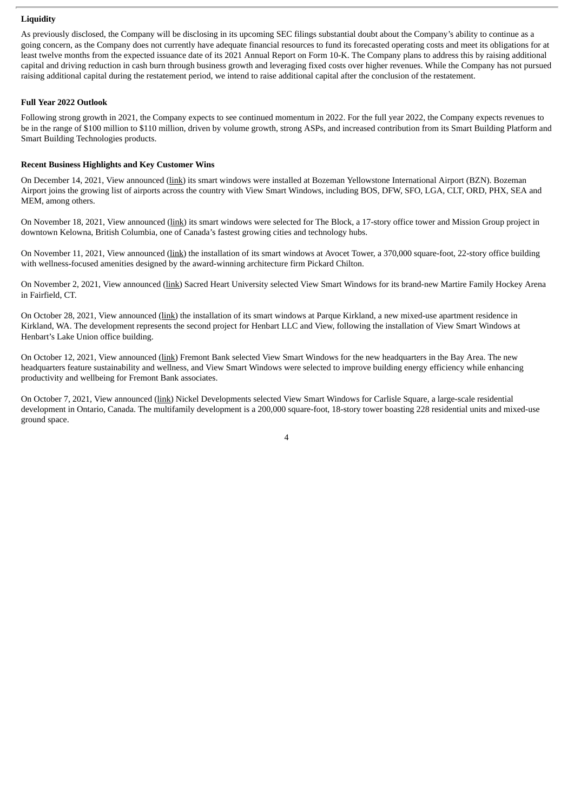#### **Liquidity**

As previously disclosed, the Company will be disclosing in its upcoming SEC filings substantial doubt about the Company's ability to continue as a going concern, as the Company does not currently have adequate financial resources to fund its forecasted operating costs and meet its obligations for at least twelve months from the expected issuance date of its 2021 Annual Report on Form 10-K. The Company plans to address this by raising additional capital and driving reduction in cash burn through business growth and leveraging fixed costs over higher revenues. While the Company has not pursued raising additional capital during the restatement period, we intend to raise additional capital after the conclusion of the restatement.

#### **Full Year 2022 Outlook**

Following strong growth in 2021, the Company expects to see continued momentum in 2022. For the full year 2022, the Company expects revenues to be in the range of \$100 million to \$110 million, driven by volume growth, strong ASPs, and increased contribution from its Smart Building Platform and Smart Building Technologies products.

### **Recent Business Highlights and Key Customer Wins**

On December 14, 2021, View announced (link) its smart windows were installed at Bozeman Yellowstone International Airport (BZN). Bozeman Airport joins the growing list of airports across the country with View Smart Windows, including BOS, DFW, SFO, LGA, CLT, ORD, PHX, SEA and MEM, among others.

On November 18, 2021, View announced (link) its smart windows were selected for The Block, a 17-story office tower and Mission Group project in downtown Kelowna, British Columbia, one of Canada's fastest growing cities and technology hubs.

On November 11, 2021, View announced (link) the installation of its smart windows at Avocet Tower, a 370,000 square-foot, 22-story office building with wellness-focused amenities designed by the award-winning architecture firm Pickard Chilton.

On November 2, 2021, View announced (link) Sacred Heart University selected View Smart Windows for its brand-new Martire Family Hockey Arena in Fairfield, CT.

On October 28, 2021, View announced (link) the installation of its smart windows at Parque Kirkland, a new mixed-use apartment residence in Kirkland, WA. The development represents the second project for Henbart LLC and View, following the installation of View Smart Windows at Henbart's Lake Union office building.

On October 12, 2021, View announced (link) Fremont Bank selected View Smart Windows for the new headquarters in the Bay Area. The new headquarters feature sustainability and wellness, and View Smart Windows were selected to improve building energy efficiency while enhancing productivity and wellbeing for Fremont Bank associates.

On October 7, 2021, View announced (link) Nickel Developments selected View Smart Windows for Carlisle Square, a large-scale residential development in Ontario, Canada. The multifamily development is a 200,000 square-foot, 18-story tower boasting 228 residential units and mixed-use ground space.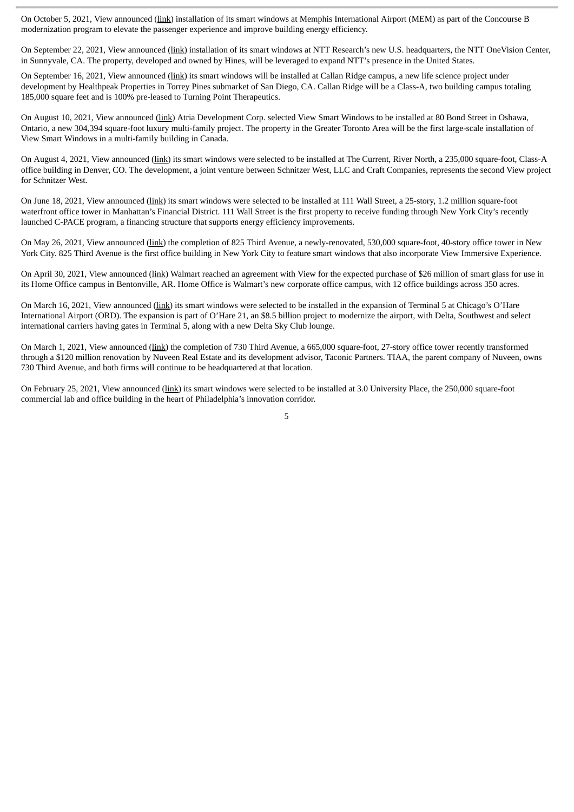On October 5, 2021, View announced (link) installation of its smart windows at Memphis International Airport (MEM) as part of the Concourse B modernization program to elevate the passenger experience and improve building energy efficiency.

On September 22, 2021, View announced (link) installation of its smart windows at NTT Research's new U.S. headquarters, the NTT OneVision Center, in Sunnyvale, CA. The property, developed and owned by Hines, will be leveraged to expand NTT's presence in the United States.

On September 16, 2021, View announced (link) its smart windows will be installed at Callan Ridge campus, a new life science project under development by Healthpeak Properties in Torrey Pines submarket of San Diego, CA. Callan Ridge will be a Class-A, two building campus totaling 185,000 square feet and is 100% pre-leased to Turning Point Therapeutics.

On August 10, 2021, View announced (link) Atria Development Corp. selected View Smart Windows to be installed at 80 Bond Street in Oshawa, Ontario, a new 304,394 square-foot luxury multi-family project. The property in the Greater Toronto Area will be the first large-scale installation of View Smart Windows in a multi-family building in Canada.

On August 4, 2021, View announced (link) its smart windows were selected to be installed at The Current, River North, a 235,000 square-foot, Class-A office building in Denver, CO. The development, a joint venture between Schnitzer West, LLC and Craft Companies, represents the second View project for Schnitzer West.

On June 18, 2021, View announced (link) its smart windows were selected to be installed at 111 Wall Street, a 25-story, 1.2 million square-foot waterfront office tower in Manhattan's Financial District. 111 Wall Street is the first property to receive funding through New York City's recently launched C-PACE program, a financing structure that supports energy efficiency improvements.

On May 26, 2021, View announced (link) the completion of 825 Third Avenue, a newly-renovated, 530,000 square-foot, 40-story office tower in New York City. 825 Third Avenue is the first office building in New York City to feature smart windows that also incorporate View Immersive Experience.

On April 30, 2021, View announced (link) Walmart reached an agreement with View for the expected purchase of \$26 million of smart glass for use in its Home Office campus in Bentonville, AR. Home Office is Walmart's new corporate office campus, with 12 office buildings across 350 acres.

On March 16, 2021, View announced (link) its smart windows were selected to be installed in the expansion of Terminal 5 at Chicago's O'Hare International Airport (ORD). The expansion is part of O'Hare 21, an \$8.5 billion project to modernize the airport, with Delta, Southwest and select international carriers having gates in Terminal 5, along with a new Delta Sky Club lounge.

On March 1, 2021, View announced (link) the completion of 730 Third Avenue, a 665,000 square-foot, 27-story office tower recently transformed through a \$120 million renovation by Nuveen Real Estate and its development advisor, Taconic Partners. TIAA, the parent company of Nuveen, owns 730 Third Avenue, and both firms will continue to be headquartered at that location.

On February 25, 2021, View announced (link) its smart windows were selected to be installed at 3.0 University Place, the 250,000 square-foot commercial lab and office building in the heart of Philadelphia's innovation corridor.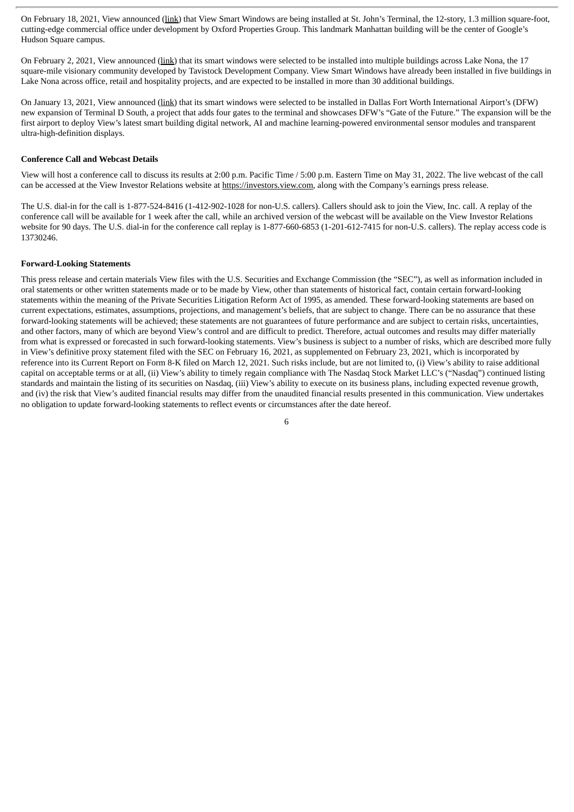On February 18, 2021, View announced (link) that View Smart Windows are being installed at St. John's Terminal, the 12-story, 1.3 million square-foot, cutting-edge commercial office under development by Oxford Properties Group. This landmark Manhattan building will be the center of Google's Hudson Square campus.

On February 2, 2021, View announced (link) that its smart windows were selected to be installed into multiple buildings across Lake Nona, the 17 square-mile visionary community developed by Tavistock Development Company. View Smart Windows have already been installed in five buildings in Lake Nona across office, retail and hospitality projects, and are expected to be installed in more than 30 additional buildings.

On January 13, 2021, View announced (link) that its smart windows were selected to be installed in Dallas Fort Worth International Airport's (DFW) new expansion of Terminal D South, a project that adds four gates to the terminal and showcases DFW's "Gate of the Future." The expansion will be the first airport to deploy View's latest smart building digital network, AI and machine learning-powered environmental sensor modules and transparent ultra-high-definition displays.

#### **Conference Call and Webcast Details**

View will host a conference call to discuss its results at 2:00 p.m. Pacific Time / 5:00 p.m. Eastern Time on May 31, 2022. The live webcast of the call can be accessed at the View Investor Relations website at https://investors.view.com, along with the Company's earnings press release.

The U.S. dial-in for the call is 1-877-524-8416 (1-412-902-1028 for non-U.S. callers). Callers should ask to join the View, Inc. call. A replay of the conference call will be available for 1 week after the call, while an archived version of the webcast will be available on the View Investor Relations website for 90 days. The U.S. dial-in for the conference call replay is 1-877-660-6853 (1-201-612-7415 for non-U.S. callers). The replay access code is 13730246.

#### **Forward-Looking Statements**

This press release and certain materials View files with the U.S. Securities and Exchange Commission (the "SEC"), as well as information included in oral statements or other written statements made or to be made by View, other than statements of historical fact, contain certain forward-looking statements within the meaning of the Private Securities Litigation Reform Act of 1995, as amended. These forward-looking statements are based on current expectations, estimates, assumptions, projections, and management's beliefs, that are subject to change. There can be no assurance that these forward-looking statements will be achieved; these statements are not guarantees of future performance and are subject to certain risks, uncertainties, and other factors, many of which are beyond View's control and are difficult to predict. Therefore, actual outcomes and results may differ materially from what is expressed or forecasted in such forward-looking statements. View's business is subject to a number of risks, which are described more fully in View's definitive proxy statement filed with the SEC on February 16, 2021, as supplemented on February 23, 2021, which is incorporated by reference into its Current Report on Form 8-K filed on March 12, 2021. Such risks include, but are not limited to, (i) View's ability to raise additional capital on acceptable terms or at all, (ii) View's ability to timely regain compliance with The Nasdaq Stock Market LLC's ("Nasdaq") continued listing standards and maintain the listing of its securities on Nasdaq, (iii) View's ability to execute on its business plans, including expected revenue growth, and (iv) the risk that View's audited financial results may differ from the unaudited financial results presented in this communication. View undertakes no obligation to update forward-looking statements to reflect events or circumstances after the date hereof.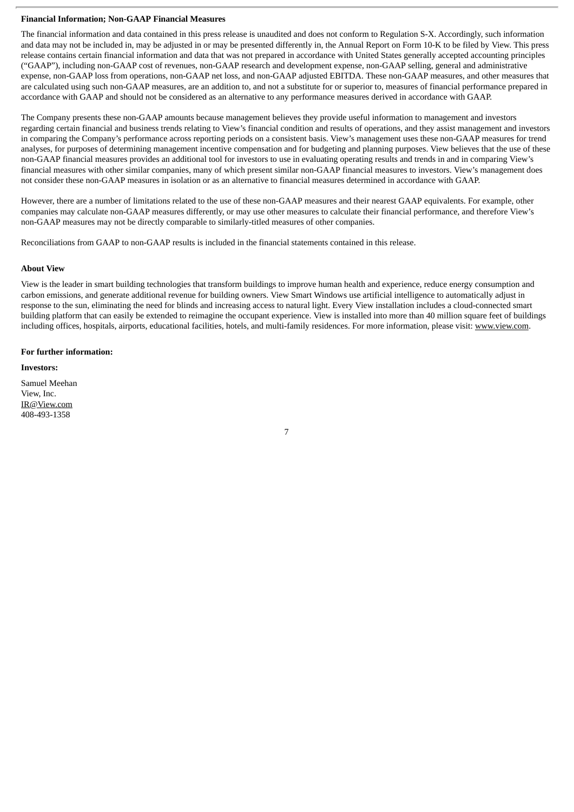### **Financial Information; Non-GAAP Financial Measures**

The financial information and data contained in this press release is unaudited and does not conform to Regulation S-X. Accordingly, such information and data may not be included in, may be adjusted in or may be presented differently in, the Annual Report on Form 10-K to be filed by View. This press release contains certain financial information and data that was not prepared in accordance with United States generally accepted accounting principles ("GAAP"), including non-GAAP cost of revenues, non-GAAP research and development expense, non-GAAP selling, general and administrative expense, non-GAAP loss from operations, non-GAAP net loss, and non-GAAP adjusted EBITDA. These non-GAAP measures, and other measures that are calculated using such non-GAAP measures, are an addition to, and not a substitute for or superior to, measures of financial performance prepared in accordance with GAAP and should not be considered as an alternative to any performance measures derived in accordance with GAAP.

The Company presents these non-GAAP amounts because management believes they provide useful information to management and investors regarding certain financial and business trends relating to View's financial condition and results of operations, and they assist management and investors in comparing the Company's performance across reporting periods on a consistent basis. View's management uses these non-GAAP measures for trend analyses, for purposes of determining management incentive compensation and for budgeting and planning purposes. View believes that the use of these non-GAAP financial measures provides an additional tool for investors to use in evaluating operating results and trends in and in comparing View's financial measures with other similar companies, many of which present similar non-GAAP financial measures to investors. View's management does not consider these non-GAAP measures in isolation or as an alternative to financial measures determined in accordance with GAAP.

However, there are a number of limitations related to the use of these non-GAAP measures and their nearest GAAP equivalents. For example, other companies may calculate non-GAAP measures differently, or may use other measures to calculate their financial performance, and therefore View's non-GAAP measures may not be directly comparable to similarly-titled measures of other companies.

Reconciliations from GAAP to non-GAAP results is included in the financial statements contained in this release.

## **About View**

View is the leader in smart building technologies that transform buildings to improve human health and experience, reduce energy consumption and carbon emissions, and generate additional revenue for building owners. View Smart Windows use artificial intelligence to automatically adjust in response to the sun, eliminating the need for blinds and increasing access to natural light. Every View installation includes a cloud-connected smart building platform that can easily be extended to reimagine the occupant experience. View is installed into more than 40 million square feet of buildings including offices, hospitals, airports, educational facilities, hotels, and multi-family residences. For more information, please visit: www.view.com.

#### **For further information:**

#### **Investors:**

Samuel Meehan View, Inc. IR@View.com 408-493-1358

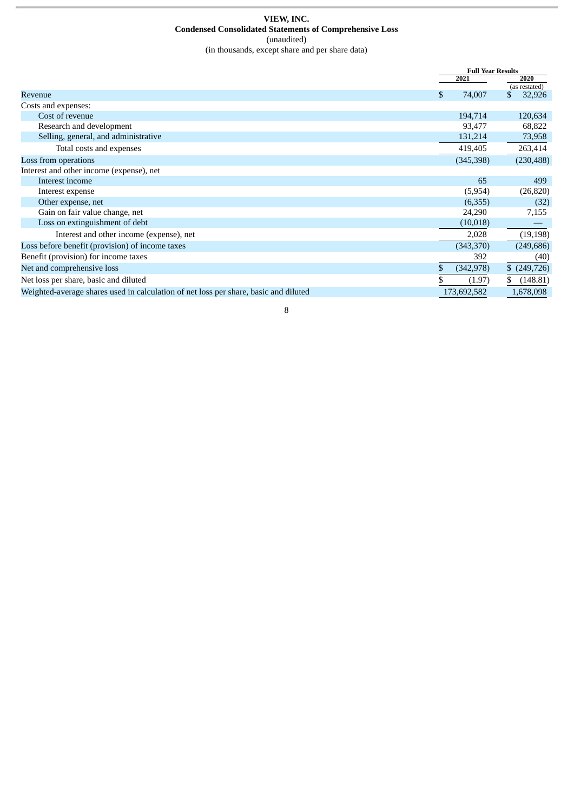#### **VIEW, INC. Condensed Consolidated Statements of Comprehensive Loss** (unaudited) (in thousands, except share and per share data)

|                                                                                      |   | <b>Full Year Results</b><br>2021<br>2020 |                |
|--------------------------------------------------------------------------------------|---|------------------------------------------|----------------|
|                                                                                      |   |                                          | (as restated)  |
| Revenue                                                                              | S | 74,007                                   | 32,926         |
| Costs and expenses:                                                                  |   |                                          |                |
| Cost of revenue                                                                      |   | 194,714                                  | 120,634        |
| Research and development                                                             |   | 93,477                                   | 68,822         |
| Selling, general, and administrative                                                 |   | 131,214                                  | 73,958         |
| Total costs and expenses                                                             |   | 419,405                                  | 263,414        |
| Loss from operations                                                                 |   | (345,398)                                | (230, 488)     |
| Interest and other income (expense), net                                             |   |                                          |                |
| Interest income                                                                      |   | 65                                       | 499            |
| Interest expense                                                                     |   | (5,954)                                  | (26, 820)      |
| Other expense, net                                                                   |   | (6,355)                                  | (32)           |
| Gain on fair value change, net                                                       |   | 24,290                                   | 7,155          |
| Loss on extinguishment of debt                                                       |   | (10,018)                                 |                |
| Interest and other income (expense), net                                             |   | 2,028                                    | (19, 198)      |
| Loss before benefit (provision) of income taxes                                      |   | (343,370)                                | (249, 686)     |
| Benefit (provision) for income taxes                                                 |   | 392                                      | (40)           |
| Net and comprehensive loss                                                           |   | (342, 978)                               | $$$ (249,726)  |
| Net loss per share, basic and diluted                                                |   | (1.97)                                   | (148.81)<br>\$ |
| Weighted-average shares used in calculation of net loss per share, basic and diluted |   | 173,692,582                              | 1,678,098      |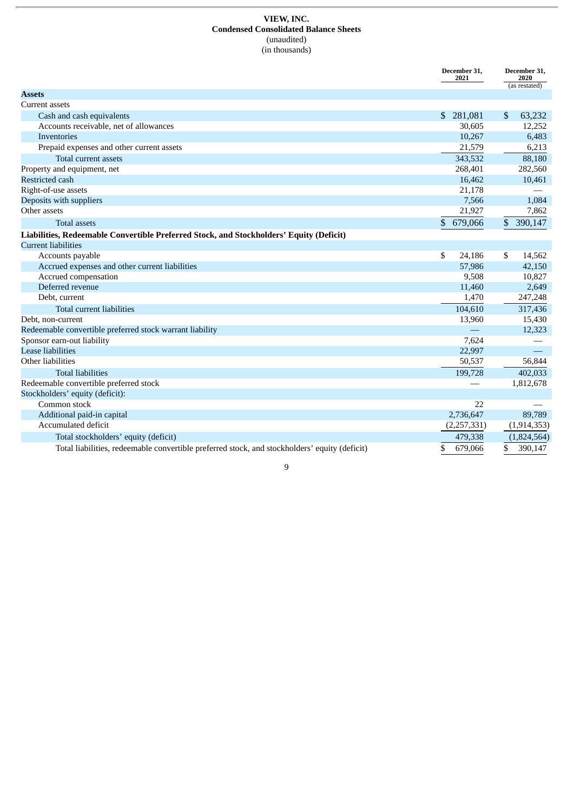#### **VIEW, INC. Condensed Consolidated Balance Sheets** (unaudited) (in thousands)

|                                                                                               | December 31,<br>2021    | December 31,<br>2020<br>(as restated) |
|-----------------------------------------------------------------------------------------------|-------------------------|---------------------------------------|
| <b>Assets</b>                                                                                 |                         |                                       |
| Current assets                                                                                |                         |                                       |
| Cash and cash equivalents                                                                     | 281,081<br>$\mathbb{S}$ | 63,232<br>\$                          |
| Accounts receivable, net of allowances                                                        | 30,605                  | 12,252                                |
| Inventories                                                                                   | 10,267                  | 6,483                                 |
| Prepaid expenses and other current assets                                                     | 21,579                  | 6,213                                 |
| Total current assets                                                                          | 343,532                 | 88,180                                |
| Property and equipment, net                                                                   | 268,401                 | 282,560                               |
| Restricted cash                                                                               | 16,462                  | 10,461                                |
| Right-of-use assets                                                                           | 21,178                  |                                       |
| Deposits with suppliers                                                                       | 7,566                   | 1,084                                 |
| Other assets                                                                                  | 21,927                  | 7,862                                 |
| <b>Total assets</b>                                                                           | \$<br>679,066           | \$ 390,147                            |
| Liabilities, Redeemable Convertible Preferred Stock, and Stockholders' Equity (Deficit)       |                         |                                       |
| <b>Current liabilities</b>                                                                    |                         |                                       |
| Accounts payable                                                                              | \$<br>24,186            | \$<br>14,562                          |
| Accrued expenses and other current liabilities                                                | 57,986                  | 42,150                                |
| Accrued compensation                                                                          | 9,508                   | 10,827                                |
| Deferred revenue                                                                              | 11,460                  | 2,649                                 |
| Debt, current                                                                                 | 1,470                   | 247,248                               |
| <b>Total current liabilities</b>                                                              | 104,610                 | 317,436                               |
| Debt, non-current                                                                             | 13,960                  | 15,430                                |
| Redeemable convertible preferred stock warrant liability                                      |                         | 12.323                                |
| Sponsor earn-out liability                                                                    | 7.624                   |                                       |
| <b>Lease liabilities</b>                                                                      | 22,997                  |                                       |
| Other liabilities                                                                             | 50,537                  | 56,844                                |
| <b>Total liabilities</b>                                                                      | 199,728                 | 402,033                               |
| Redeemable convertible preferred stock                                                        |                         | 1,812,678                             |
| Stockholders' equity (deficit):                                                               |                         |                                       |
| Common stock                                                                                  | 22                      |                                       |
| Additional paid-in capital                                                                    | 2,736,647               | 89,789                                |
| Accumulated deficit                                                                           | (2,257,331)             | (1,914,353)                           |
| Total stockholders' equity (deficit)                                                          | 479,338                 | (1,824,564)                           |
| Total liabilities, redeemable convertible preferred stock, and stockholders' equity (deficit) | \$<br>679,066           | \$<br>390,147                         |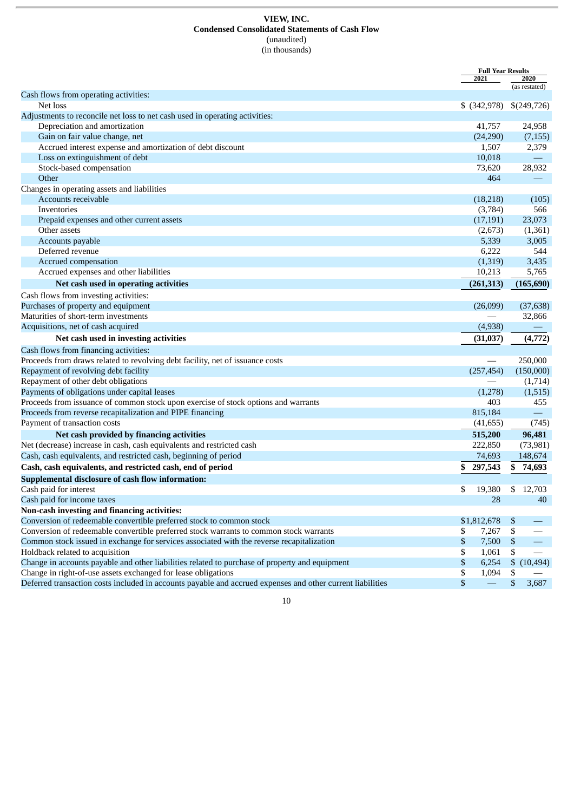#### **VIEW, INC. Condensed Consolidated Statements of Cash Flow** (unaudited) (in thousands)

|                                                                                                            | <b>Full Year Results</b>    |    |                          |
|------------------------------------------------------------------------------------------------------------|-----------------------------|----|--------------------------|
|                                                                                                            | 2021                        |    | 2020                     |
| Cash flows from operating activities:                                                                      |                             |    | (as restated)            |
| Net loss                                                                                                   | $$$ (342,978) $$$ (249,726) |    |                          |
| Adjustments to reconcile net loss to net cash used in operating activities:                                |                             |    |                          |
| Depreciation and amortization                                                                              | 41,757                      |    | 24,958                   |
| Gain on fair value change, net                                                                             | (24,290)                    |    | (7, 155)                 |
|                                                                                                            | 1,507                       |    | 2,379                    |
| Accrued interest expense and amortization of debt discount                                                 |                             |    | $\qquad \qquad -$        |
| Loss on extinguishment of debt<br>Stock-based compensation                                                 | 10,018                      |    | 28,932                   |
|                                                                                                            | 73,620<br>464               |    |                          |
| Other                                                                                                      |                             |    |                          |
| Changes in operating assets and liabilities                                                                |                             |    |                          |
| Accounts receivable                                                                                        | (18, 218)                   |    | (105)                    |
| Inventories                                                                                                | (3,784)                     |    | 566                      |
| Prepaid expenses and other current assets                                                                  | (17, 191)                   |    | 23,073                   |
| Other assets                                                                                               | (2,673)                     |    | (1, 361)                 |
| Accounts payable                                                                                           | 5,339                       |    | 3,005                    |
| Deferred revenue                                                                                           | 6,222                       |    | 544                      |
| Accrued compensation                                                                                       | (1, 319)                    |    | 3,435                    |
| Accrued expenses and other liabilities                                                                     | 10,213                      |    | 5,765                    |
| Net cash used in operating activities                                                                      | (261, 313)                  |    | (165, 690)               |
| Cash flows from investing activities:                                                                      |                             |    |                          |
| Purchases of property and equipment                                                                        | (26,099)                    |    | (37, 638)                |
| Maturities of short-term investments                                                                       |                             |    | 32,866                   |
| Acquisitions, net of cash acquired                                                                         | (4,938)                     |    |                          |
| Net cash used in investing activities                                                                      | (31,037)                    |    | (4, 772)                 |
|                                                                                                            |                             |    |                          |
| Cash flows from financing activities:                                                                      |                             |    |                          |
| Proceeds from draws related to revolving debt facility, net of issuance costs                              |                             |    | 250,000                  |
| Repayment of revolving debt facility                                                                       | (257, 454)                  |    | (150,000)                |
| Repayment of other debt obligations                                                                        |                             |    | (1,714)                  |
| Payments of obligations under capital leases                                                               | (1,278)                     |    | (1, 515)                 |
| Proceeds from issuance of common stock upon exercise of stock options and warrants                         | 403                         |    | 455                      |
| Proceeds from reverse recapitalization and PIPE financing                                                  | 815,184                     |    | $\overline{\phantom{0}}$ |
| Payment of transaction costs                                                                               | (41, 655)                   |    | (745)                    |
| Net cash provided by financing activities                                                                  | 515,200                     |    | 96,481                   |
| Net (decrease) increase in cash, cash equivalents and restricted cash                                      | 222,850                     |    | (73,981)                 |
| Cash, cash equivalents, and restricted cash, beginning of period                                           | 74,693                      |    | 148,674                  |
| Cash, cash equivalents, and restricted cash, end of period                                                 | \$<br>297,543               |    | \$74,693                 |
| Supplemental disclosure of cash flow information:                                                          |                             |    |                          |
| Cash paid for interest                                                                                     | \$<br>19,380                |    | \$12,703                 |
| Cash paid for income taxes                                                                                 | 28                          |    | 40                       |
| Non-cash investing and financing activities:                                                               |                             |    |                          |
| Conversion of redeemable convertible preferred stock to common stock                                       | \$1,812,678                 | \$ |                          |
| Conversion of redeemable convertible preferred stock warrants to common stock warrants                     | \$<br>7,267                 | \$ |                          |
| Common stock issued in exchange for services associated with the reverse recapitalization                  | \$<br>7,500                 | \$ |                          |
| Holdback related to acquisition                                                                            | \$<br>1,061                 | \$ |                          |
| Change in accounts payable and other liabilities related to purchase of property and equipment             | \$<br>6,254                 |    | \$(10, 494)              |
| Change in right-of-use assets exchanged for lease obligations                                              | \$<br>1,094                 | \$ |                          |
| Deferred transaction costs included in accounts payable and accrued expenses and other current liabilities | \$<br>$\qquad \qquad -$     | \$ | 3,687                    |
|                                                                                                            |                             |    |                          |